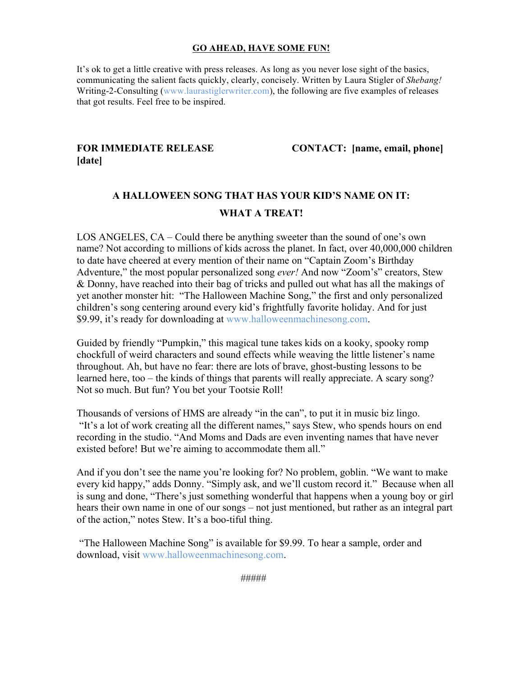# **GO AHEAD, HAVE SOME FUN!**

It's ok to get a little creative with press releases. As long as you never lose sight of the basics, communicating the salient facts quickly, clearly, concisely. Written by Laura Stigler of *Shebang!* Writing-2-Consulting (www.laurastiglerwriter.com), the following are five examples of releases that got results. Feel free to be inspired.

# **[date]**

**FOR IMMEDIATE RELEASE CONTACT: [name, email, phone]**

# **A HALLOWEEN SONG THAT HAS YOUR KID'S NAME ON IT: WHAT A TREAT!**

LOS ANGELES, CA – Could there be anything sweeter than the sound of one's own name? Not according to millions of kids across the planet. In fact, over 40,000,000 children to date have cheered at every mention of their name on "Captain Zoom's Birthday Adventure," the most popular personalized song *ever!* And now "Zoom's" creators, Stew & Donny, have reached into their bag of tricks and pulled out what has all the makings of yet another monster hit: "The Halloween Machine Song," the first and only personalized children's song centering around every kid's frightfully favorite holiday. And for just \$9.99, it's ready for downloading at www.halloweenmachinesong.com.

Guided by friendly "Pumpkin," this magical tune takes kids on a kooky, spooky romp chockfull of weird characters and sound effects while weaving the little listener's name throughout. Ah, but have no fear: there are lots of brave, ghost-busting lessons to be learned here, too – the kinds of things that parents will really appreciate. A scary song? Not so much. But fun? You bet your Tootsie Roll!

Thousands of versions of HMS are already "in the can", to put it in music biz lingo. "It's a lot of work creating all the different names," says Stew, who spends hours on end recording in the studio. "And Moms and Dads are even inventing names that have never existed before! But we're aiming to accommodate them all."

And if you don't see the name you're looking for? No problem, goblin. "We want to make every kid happy," adds Donny. "Simply ask, and we'll custom record it." Because when all is sung and done, "There's just something wonderful that happens when a young boy or girl hears their own name in one of our songs – not just mentioned, but rather as an integral part of the action," notes Stew. It's a boo-tiful thing.

"The Halloween Machine Song" is available for \$9.99. To hear a sample, order and download, visit www.halloweenmachinesong.com.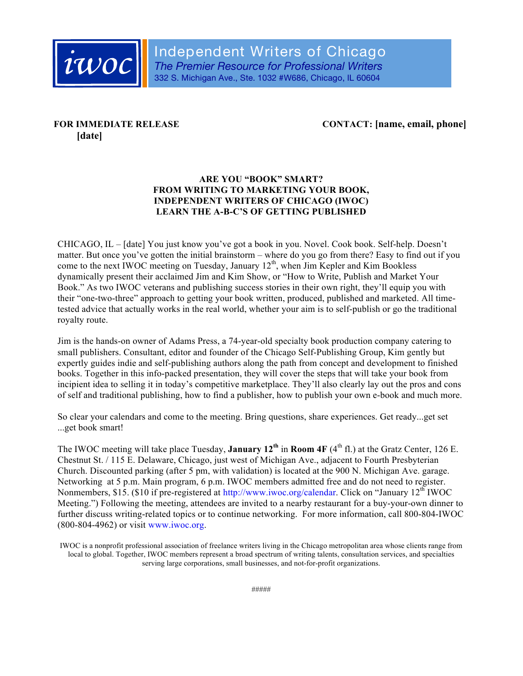

# **[date]**

**FOR IMMEDIATE RELEASE CONTACT: [name, email, phone]**

# **ARE YOU "BOOK" SMART? FROM WRITING TO MARKETING YOUR BOOK, INDEPENDENT WRITERS OF CHICAGO (IWOC) LEARN THE A-B-C'S OF GETTING PUBLISHED**

CHICAGO, IL – [date] You just know you've got a book in you. Novel. Cook book. Self-help. Doesn't matter. But once you've gotten the initial brainstorm – where do you go from there? Easy to find out if you come to the next IWOC meeting on Tuesday, January 12<sup>th</sup>, when Jim Kepler and Kim Bookless dynamically present their acclaimed Jim and Kim Show, or "How to Write, Publish and Market Your Book." As two IWOC veterans and publishing success stories in their own right, they'll equip you with their "one-two-three" approach to getting your book written, produced, published and marketed. All timetested advice that actually works in the real world, whether your aim is to self-publish or go the traditional royalty route.

Jim is the hands-on owner of Adams Press, a 74-year-old specialty book production company catering to small publishers. Consultant, editor and founder of the Chicago Self-Publishing Group, Kim gently but expertly guides indie and self-publishing authors along the path from concept and development to finished books. Together in this info-packed presentation, they will cover the steps that will take your book from incipient idea to selling it in today's competitive marketplace. They'll also clearly lay out the pros and cons of self and traditional publishing, how to find a publisher, how to publish your own e-book and much more.

So clear your calendars and come to the meeting. Bring questions, share experiences. Get ready...get set ...get book smart!

The IWOC meeting will take place Tuesday, **January 12th** in **Room 4F** (4th fl.) at the Gratz Center, 126 E. Chestnut St. / 115 E. Delaware, Chicago, just west of Michigan Ave., adjacent to Fourth Presbyterian Church. Discounted parking (after 5 pm, with validation) is located at the 900 N. Michigan Ave. garage. Networking at 5 p.m. Main program, 6 p.m. IWOC members admitted free and do not need to register. Nonmembers, \$15. (\$10 if pre-registered at http://www.iwoc.org/calendar. Click on "January 12<sup>th</sup> IWOC Meeting.") Following the meeting, attendees are invited to a nearby restaurant for a buy-your-own dinner to further discuss writing-related topics or to continue networking. For more information, call 800-804-IWOC (800-804-4962) or visit www.iwoc.org.

IWOC is a nonprofit professional association of freelance writers living in the Chicago metropolitan area whose clients range from local to global. Together, IWOC members represent a broad spectrum of writing talents, consultation services, and specialties serving large corporations, small businesses, and not-for-profit organizations.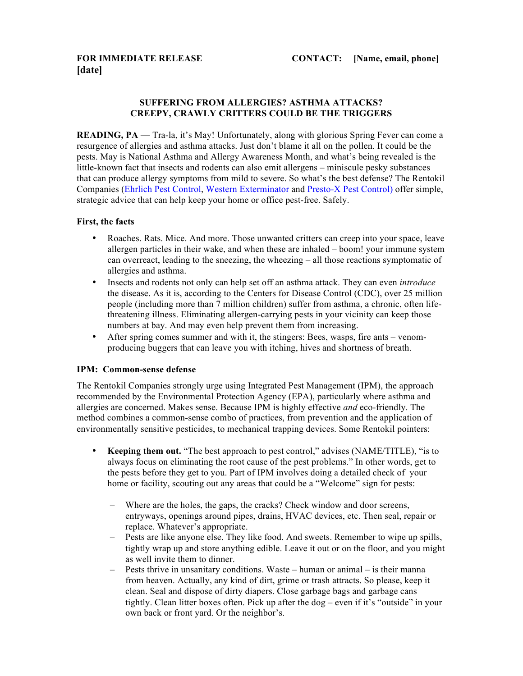# **SUFFERING FROM ALLERGIES? ASTHMA ATTACKS? CREEPY, CRAWLY CRITTERS COULD BE THE TRIGGERS**

**READING, PA** — Tra-la, it's May! Unfortunately, along with glorious Spring Fever can come a resurgence of allergies and asthma attacks. Just don't blame it all on the pollen. It could be the pests. May is National Asthma and Allergy Awareness Month, and what's being revealed is the little-known fact that insects and rodents can also emit allergens – miniscule pesky substances that can produce allergy symptoms from mild to severe. So what's the best defense? The Rentokil Companies (Ehrlich Pest Control, Western Exterminator and Presto-X Pest Control) offer simple, strategic advice that can help keep your home or office pest-free. Safely.

### **First, the facts**

- Roaches. Rats. Mice. And more. Those unwanted critters can creep into your space, leave allergen particles in their wake, and when these are inhaled – boom! your immune system can overreact, leading to the sneezing, the wheezing – all those reactions symptomatic of allergies and asthma.
- Insects and rodents not only can help set off an asthma attack. They can even *introduce* the disease. As it is, according to the Centers for Disease Control (CDC), over 25 million people (including more than 7 million children) suffer from asthma, a chronic, often lifethreatening illness. Eliminating allergen-carrying pests in your vicinity can keep those numbers at bay. And may even help prevent them from increasing.
- After spring comes summer and with it, the stingers: Bees, wasps, fire ants venomproducing buggers that can leave you with itching, hives and shortness of breath.

#### **IPM: Common-sense defense**

The Rentokil Companies strongly urge using Integrated Pest Management (IPM), the approach recommended by the Environmental Protection Agency (EPA), particularly where asthma and allergies are concerned. Makes sense. Because IPM is highly effective *and* eco-friendly. The method combines a common-sense combo of practices, from prevention and the application of environmentally sensitive pesticides, to mechanical trapping devices. Some Rentokil pointers:

- **Keeping them out.** "The best approach to pest control," advises (NAME/TITLE), "is to always focus on eliminating the root cause of the pest problems." In other words, get to the pests before they get to you. Part of IPM involves doing a detailed check of your home or facility, scouting out any areas that could be a "Welcome" sign for pests:
	- Where are the holes, the gaps, the cracks? Check window and door screens, entryways, openings around pipes, drains, HVAC devices, etc. Then seal, repair or replace. Whatever's appropriate.
	- Pests are like anyone else. They like food. And sweets. Remember to wipe up spills, tightly wrap up and store anything edible. Leave it out or on the floor, and you might as well invite them to dinner.
	- Pests thrive in unsanitary conditions. Waste human or animal is their manna from heaven. Actually, any kind of dirt, grime or trash attracts. So please, keep it clean. Seal and dispose of dirty diapers. Close garbage bags and garbage cans tightly. Clean litter boxes often. Pick up after the dog – even if it's "outside" in your own back or front yard. Or the neighbor's.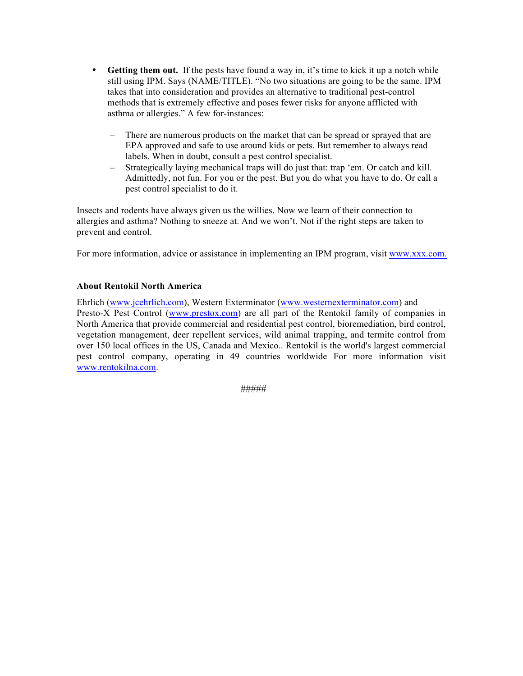- **Getting them out.** If the pests have found a way in, it's time to kick it up a notch while still using IPM. Says (NAME/TITLE). "No two situations are going to be the same. IPM takes that into consideration and provides an alternative to traditional pest-control methods that is extremely effective and poses fewer risks for anyone afflicted with asthma or allergies." A few for-instances:
	- There are numerous products on the market that can be spread or sprayed that are EPA approved and safe to use around kids or pets. But remember to always read labels. When in doubt, consult a pest control specialist.
	- Strategically laying mechanical traps will do just that: trap 'em. Or catch and kill. Admittedly, not fun. For you or the pest. But you do what you have to do. Or call a pest control specialist to do it.

Insects and rodents have always given us the willies. Now we learn of their connection to allergies and asthma? Nothing to sneeze at. And we won't. Not if the right steps are taken to prevent and control.

For more information, advice or assistance in implementing an IPM program, visit www.xxx.com.

# **About Rentokil North America**

Ehrlich (www.jcehrlich.com), Western Exterminator (www.westernexterminator.com) and Presto-X Pest Control (www.prestox.com) are all part of the Rentokil family of companies in North America that provide commercial and residential pest control, bioremediation, bird control, vegetation management, deer repellent services, wild animal trapping, and termite control from over 150 local offices in the US, Canada and Mexico.. Rentokil is the world's largest commercial pest control company, operating in 49 countries worldwide For more information visit www.rentokilna.com.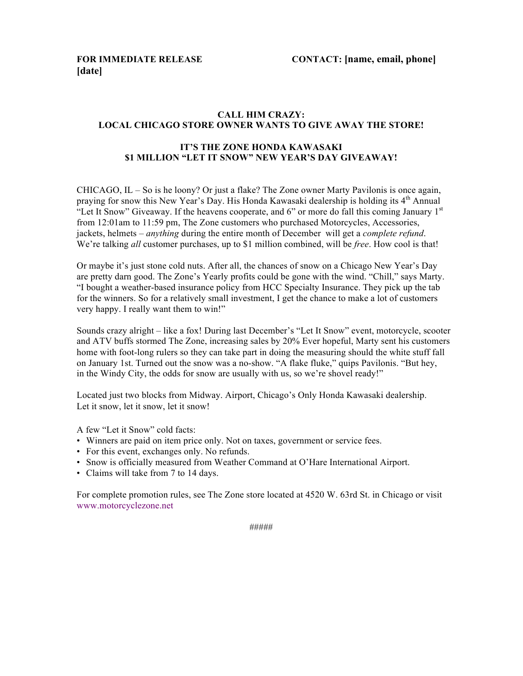# **CALL HIM CRAZY: LOCAL CHICAGO STORE OWNER WANTS TO GIVE AWAY THE STORE!**

# **IT'S THE ZONE HONDA KAWASAKI \$1 MILLION "LET IT SNOW" NEW YEAR'S DAY GIVEAWAY!**

CHICAGO, IL – So is he loony? Or just a flake? The Zone owner Marty Pavilonis is once again, praying for snow this New Year's Day. His Honda Kawasaki dealership is holding its 4th Annual "Let It Snow" Giveaway. If the heavens cooperate, and 6" or more do fall this coming January  $1<sup>st</sup>$ from 12:01am to 11:59 pm, The Zone customers who purchased Motorcycles, Accessories, jackets, helmets – *anything* during the entire month of December will get a *complete refund*. We're talking *all* customer purchases, up to \$1 million combined, will be *free*. How cool is that!

Or maybe it's just stone cold nuts. After all, the chances of snow on a Chicago New Year's Day are pretty darn good. The Zone's Yearly profits could be gone with the wind. "Chill," says Marty. "I bought a weather-based insurance policy from HCC Specialty Insurance. They pick up the tab for the winners. So for a relatively small investment, I get the chance to make a lot of customers very happy. I really want them to win!"

Sounds crazy alright – like a fox! During last December's "Let It Snow" event, motorcycle, scooter and ATV buffs stormed The Zone, increasing sales by 20% Ever hopeful, Marty sent his customers home with foot-long rulers so they can take part in doing the measuring should the white stuff fall on January 1st. Turned out the snow was a no-show. "A flake fluke," quips Pavilonis. "But hey, in the Windy City, the odds for snow are usually with us, so we're shovel ready!"

Located just two blocks from Midway. Airport, Chicago's Only Honda Kawasaki dealership. Let it snow, let it snow, let it snow!

A few "Let it Snow" cold facts:

- Winners are paid on item price only. Not on taxes, government or service fees.
- For this event, exchanges only. No refunds.
- Snow is officially measured from Weather Command at O'Hare International Airport.
- Claims will take from 7 to 14 days.

For complete promotion rules, see The Zone store located at 4520 W. 63rd St. in Chicago or visit www.motorcyclezone.net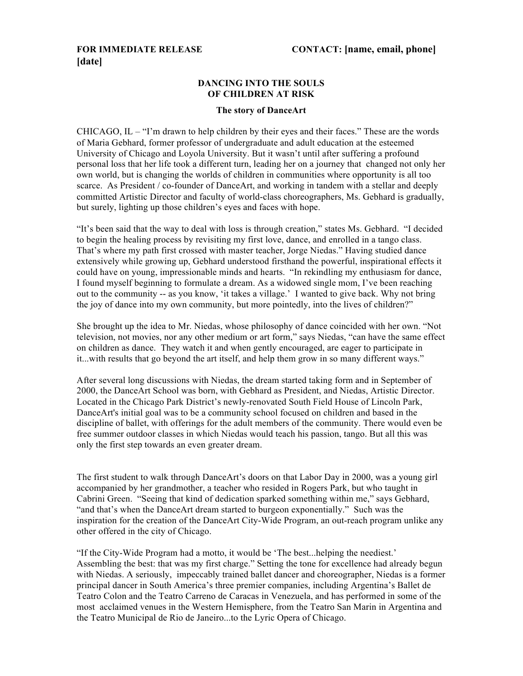# **[date]**

### **DANCING INTO THE SOULS OF CHILDREN AT RISK**

#### **The story of DanceArt**

CHICAGO, IL – "I'm drawn to help children by their eyes and their faces." These are the words of Maria Gebhard, former professor of undergraduate and adult education at the esteemed University of Chicago and Loyola University. But it wasn't until after suffering a profound personal loss that her life took a different turn, leading her on a journey that changed not only her own world, but is changing the worlds of children in communities where opportunity is all too scarce. As President / co-founder of DanceArt, and working in tandem with a stellar and deeply committed Artistic Director and faculty of world-class choreographers, Ms. Gebhard is gradually, but surely, lighting up those children's eyes and faces with hope.

"It's been said that the way to deal with loss is through creation," states Ms. Gebhard. "I decided to begin the healing process by revisiting my first love, dance, and enrolled in a tango class. That's where my path first crossed with master teacher, Jorge Niedas." Having studied dance extensively while growing up, Gebhard understood firsthand the powerful, inspirational effects it could have on young, impressionable minds and hearts. "In rekindling my enthusiasm for dance, I found myself beginning to formulate a dream. As a widowed single mom, I've been reaching out to the community -- as you know, 'it takes a village.' I wanted to give back. Why not bring the joy of dance into my own community, but more pointedly, into the lives of children?"

She brought up the idea to Mr. Niedas, whose philosophy of dance coincided with her own. "Not television, not movies, nor any other medium or art form," says Niedas, "can have the same effect on children as dance. They watch it and when gently encouraged, are eager to participate in it...with results that go beyond the art itself, and help them grow in so many different ways."

After several long discussions with Niedas, the dream started taking form and in September of 2000, the DanceArt School was born, with Gebhard as President, and Niedas, Artistic Director. Located in the Chicago Park District's newly-renovated South Field House of Lincoln Park, DanceArt's initial goal was to be a community school focused on children and based in the discipline of ballet, with offerings for the adult members of the community. There would even be free summer outdoor classes in which Niedas would teach his passion, tango. But all this was only the first step towards an even greater dream.

The first student to walk through DanceArt's doors on that Labor Day in 2000, was a young girl accompanied by her grandmother, a teacher who resided in Rogers Park, but who taught in Cabrini Green. "Seeing that kind of dedication sparked something within me," says Gebhard, "and that's when the DanceArt dream started to burgeon exponentially." Such was the inspiration for the creation of the DanceArt City-Wide Program, an out-reach program unlike any other offered in the city of Chicago.

"If the City-Wide Program had a motto, it would be 'The best...helping the neediest.' Assembling the best: that was my first charge." Setting the tone for excellence had already begun with Niedas. A seriously, impeccably trained ballet dancer and choreographer, Niedas is a former principal dancer in South America's three premier companies, including Argentina's Ballet de Teatro Colon and the Teatro Carreno de Caracas in Venezuela, and has performed in some of the most acclaimed venues in the Western Hemisphere, from the Teatro San Marin in Argentina and the Teatro Municipal de Rio de Janeiro...to the Lyric Opera of Chicago.